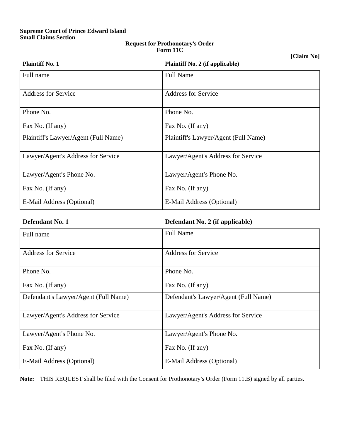## **Supreme Court of Prince Edward Island Small Claims Section**

## **Request for Prothonotary**=**s Order Form 11C**

**[Claim No]**

| <b>Plaintiff No. 1</b>               | <b>Plaintiff No. 2 (if applicable)</b> |
|--------------------------------------|----------------------------------------|
| Full name                            | <b>Full Name</b>                       |
| <b>Address for Service</b>           | <b>Address for Service</b>             |
| Phone No.                            | Phone No.                              |
| Fax No. (If any)                     | Fax No. (If any)                       |
| Plaintiff's Lawyer/Agent (Full Name) | Plaintiff's Lawyer/Agent (Full Name)   |
| Lawyer/Agent's Address for Service   | Lawyer/Agent's Address for Service     |
| Lawyer/Agent's Phone No.             | Lawyer/Agent's Phone No.               |
| Fax No. (If any)                     | Fax No. (If any)                       |
| E-Mail Address (Optional)            | E-Mail Address (Optional)              |

| Defendant No. 1 | Defendant No. 2 (if applicable) |
|-----------------|---------------------------------|
|                 |                                 |

| Full name                            | <b>Full Name</b>                     |  |
|--------------------------------------|--------------------------------------|--|
| <b>Address for Service</b>           | <b>Address for Service</b>           |  |
| Phone No.                            | Phone No.                            |  |
| Fax No. (If any)                     | Fax No. (If any)                     |  |
| Defendant's Lawyer/Agent (Full Name) | Defendant's Lawyer/Agent (Full Name) |  |
| Lawyer/Agent's Address for Service   | Lawyer/Agent's Address for Service   |  |
| Lawyer/Agent's Phone No.             | Lawyer/Agent's Phone No.             |  |
| Fax No. (If any)                     | Fax No. (If any)                     |  |
| E-Mail Address (Optional)            | E-Mail Address (Optional)            |  |

Note: THIS REQUEST shall be filed with the Consent for Prothonotary's Order (Form 11.B) signed by all parties.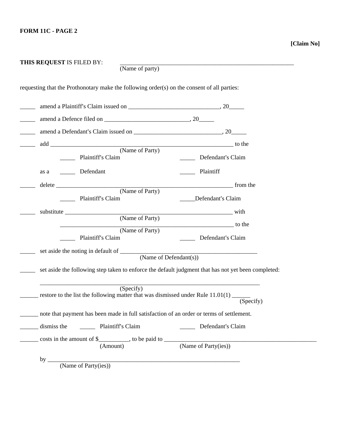| requesting that the Prothonotary make the following order(s) on the consent of all parties:              |                                                                                                     |
|----------------------------------------------------------------------------------------------------------|-----------------------------------------------------------------------------------------------------|
|                                                                                                          |                                                                                                     |
|                                                                                                          |                                                                                                     |
|                                                                                                          |                                                                                                     |
|                                                                                                          |                                                                                                     |
| Plaintiff's Claim                                                                                        | Defendant's Claim                                                                                   |
| Defendant<br>as a                                                                                        | Plaintiff                                                                                           |
|                                                                                                          |                                                                                                     |
| Plaintiff's Claim                                                                                        | ____Defendant's Claim                                                                               |
|                                                                                                          |                                                                                                     |
|                                                                                                          |                                                                                                     |
| Plaintiff's Claim                                                                                        | (Name of Party) to the<br>Defendant's Claim<br>$\frac{1}{2}$                                        |
|                                                                                                          |                                                                                                     |
| set aside the noting in default of $\frac{\text{(Name of Defendant(s))}}{\text{(Name of Defendant(s))}}$ |                                                                                                     |
|                                                                                                          | set aside the following step taken to enforce the default judgment that has not yet been completed: |
|                                                                                                          |                                                                                                     |
| (Specify)<br>restore to the list the following matter that was dismissed under Rule 11.01(1) __          | (Specify)                                                                                           |
| note that payment has been made in full satisfaction of an order or terms of settlement.                 |                                                                                                     |
|                                                                                                          | Defendant's Claim                                                                                   |
| Plaintiff's Claim<br>dismiss the                                                                         |                                                                                                     |
|                                                                                                          | (Name of Party(ies))                                                                                |